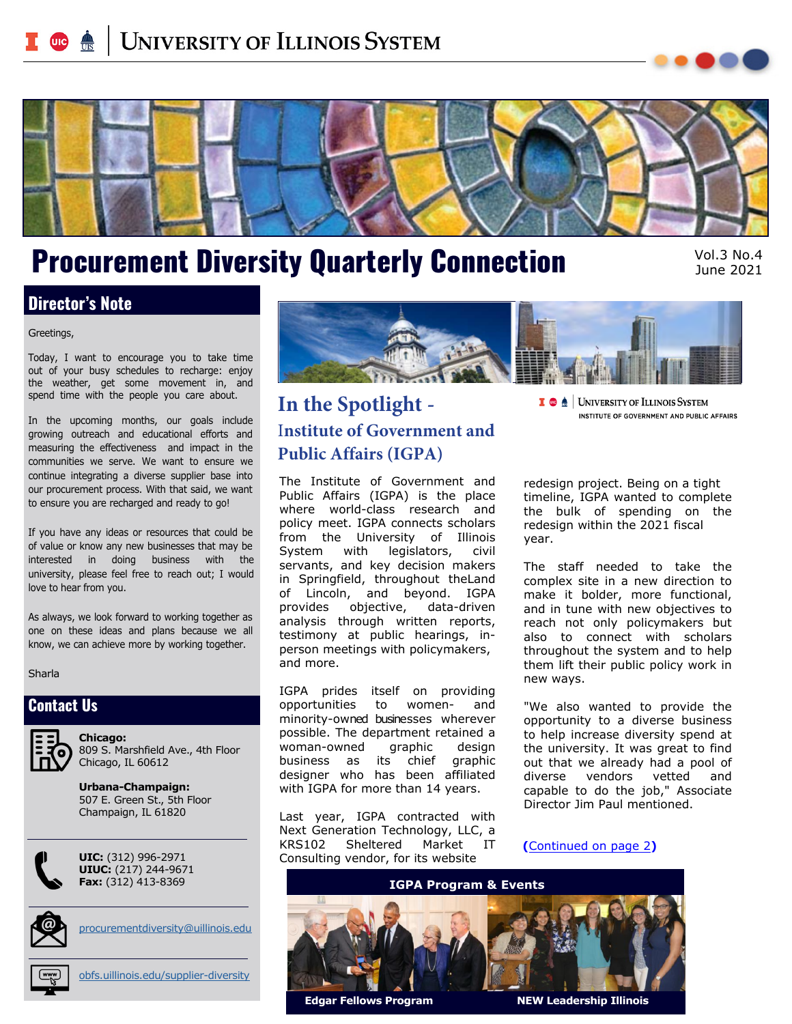# <span id="page-0-0"></span>**UNIVERSITY OF ILLINOIS SYSTEM**



# Procurement Diversity Quarterly Connection Vol.3 No.4

June 2021

### **Director's Note**

#### Greetings,

Today, I want to encourage you to take time out of your busy schedules to recharge: enjoy the weather, get some movement in, and spend time with the people you care about.

In the upcoming months, our goals include growing outreach and educational efforts and measuring the effectiveness and impact in the communities we serve. We want to ensure we continue integrating a diverse supplier base into our procurement process. With that said, we want to ensure you are recharged and ready to go!

If you have any ideas or resources that could be of value or know any new businesses that may be interested in doing business with the university, please feel free to reach out; I would love to hear from you.

As always, we look forward to working together as one on these ideas and plans because we all know, we can achieve more by working together.

#### Sharla

### **Contact Us**



**Chicago:** 809 S. Marshfield Ave., 4th Floor Chicago, IL 60612

**Urbana-Champaign:** 507 E. Green St., 5th Floor Champaign, IL 61820



**UIC:** (312) 996-2971 **UIUC:** (217) 244-9671 **Fax:** (312) 413-8369



[procurementdiversity@uillinois.edu](mailto:procurementdiversity%40uillinois.edu?subject=)



[obfs.uillinois.edu/supplier-diversity](mailto:https://www.obfs.uillinois.edu/Supplier-Diversity/?subject=)



# **In the Spotlight -**  I**nstitute of Government and Public Affairs (IGPA)**

The Institute of Government and Public Affairs (IGPA) is the place where world-class research and policy meet. IGPA connects scholars from the University of Illinois System with legislators, civil servants, and key decision makers in Springfield, throughout theLand of Lincoln, and beyond. IGPA provides objective, data-driven analysis through written reports, testimony at public hearings, inperson meetings with policymakers, and more.

IGPA prides itself on providing opportunities to women- and minority-owned businesses wherever possible. The department retained a woman-owned graphic design business as its chief graphic designer who has been affiliated with IGPA for more than 14 years.

Last year, IGPA contracted with Next Generation Technology, LLC, a KRS102 Sheltered Market IT Consulting vendor, for its website

redesign project. Being on a tight timeline, IGPA wanted to complete the bulk of spending on the redesign within the 2021 fiscal year.

**I @** <u>A</u> | UNIVERSITY OF ILLINOIS SYSTEM</u>

INSTITUTE OF GOVERNMENT AND PUBLIC AFFAIRS

The staff needed to take the complex site in a new direction to make it bolder, more functional, and in tune with new objectives to reach not only policymakers but also to connect with scholars throughout the system and to help them lift their public policy work in new ways.

"We also wanted to provide the opportunity to a diverse business to help increase diversity spend at the university. It was great to find out that we already had a pool of diverse vendors vetted and capable to do the job," Associate Director Jim Paul mentioned.

**(**[Continued on page 2](#page-1-0)**)**



**Edgar Fellows Program NEW Leadership Illinois**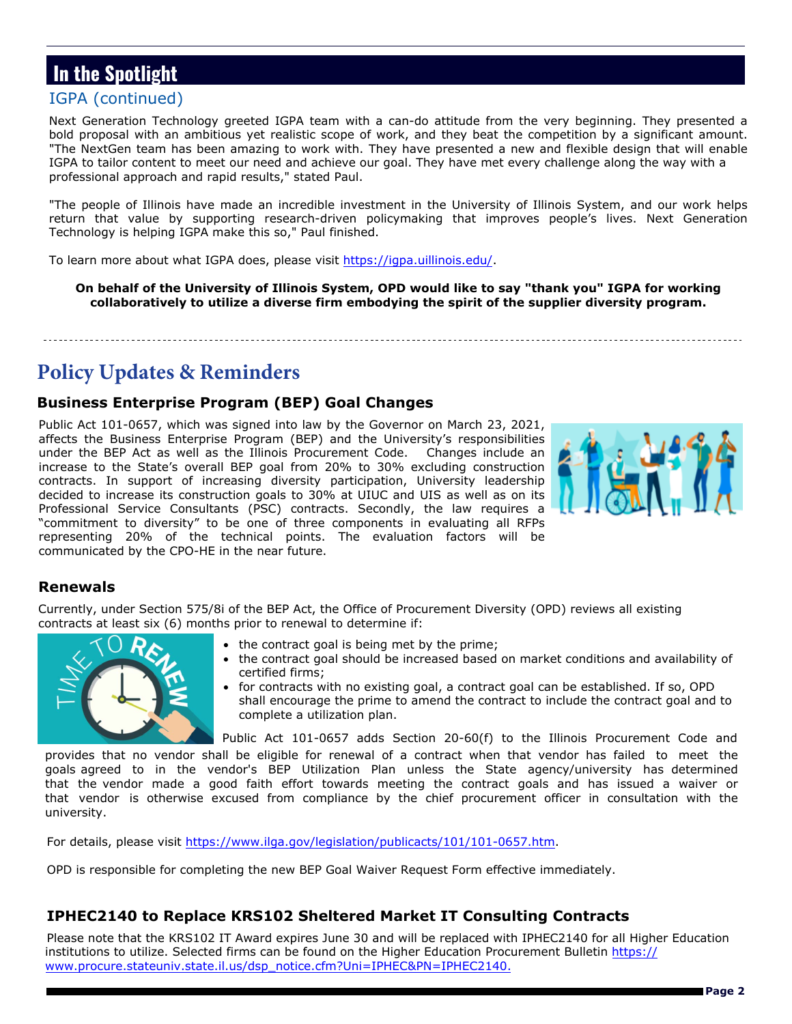#### **Page 2**

# <span id="page-1-0"></span>**In the Spotlight**

### [IGPA \(continued\)](#page-0-0)

Next Generation Technology greeted IGPA team with a can-do attitude from the very beginning. They presented a bold proposal with an ambitious yet realistic scope of work, and they beat the competition by a significant amount. "The NextGen team has been amazing to work with. They have presented a new and flexible design that will enable IGPA to tailor content to meet our need and achieve our goal. They have met every challenge along the way with a professional approach and rapid results," stated Paul.

"The people of Illinois have made an incredible investment in the University of Illinois System, and our work helps return that value by supporting research-driven policymaking that improves people's lives. Next Generation Technology is helping IGPA make this so," Paul finished.

To learn more about what IGPA does, please visit [https://igpa.uillinois.edu/.](https://igpa.uillinois.edu/)

**On behalf of the University of Illinois System, OPD would like to say "thank you" IGPA for working collaboratively to utilize a diverse firm embodying the spirit of the supplier diversity program.** 

# **Policy Updates & Reminders**

#### **Business Enterprise Program (BEP) Goal Changes**

Public Act 101-0657, which was signed into law by the Governor on March 23, 2021, affects the Business Enterprise Program (BEP) and the University's responsibilities under the BEP Act as well as the Illinois Procurement Code. Changes include an increase to the State's overall BEP goal from 20% to 30% excluding construction contracts. In support of increasing diversity participation, University leadership decided to increase its construction goals to 30% at UIUC and UIS as well as on its Professional Service Consultants (PSC) contracts. Secondly, the law requires a "commitment to diversity" to be one of three components in evaluating all RFPs representing 20% of the technical points. The evaluation factors will be communicated by the CPO-HE in the near future.

### **Renewals**

Currently, under Section 575/8i of the BEP Act, the Office of Procurement Diversity (OPD) reviews all existing contracts at least six (6) months prior to renewal to determine if:



- the contract goal is being met by the prime;
- the contract goal should be increased based on market conditions and availability of certified firms;
- for contracts with no existing goal, a contract goal can be established. If so, OPD shall encourage the prime to amend the contract to include the contract goal and to complete a utilization plan.

Public Act 101-0657 adds Section 20-60(f) to the Illinois Procurement Code and

provides that no vendor shall be eligible for renewal of a contract when that vendor has failed to meet the goals agreed to in the vendor's BEP Utilization Plan unless the State agency/university has determined that the vendor made a good faith effort towards meeting the contract goals and has issued a waiver or that vendor is otherwise excused from compliance by the chief procurement officer in consultation with the university.

For details, please visit [https://www.ilga.gov/legislation/publicacts/101/101-0657.htm.](https://www.ilga.gov/legislation/publicacts/101/101-0657.htm) 

OPD is responsible for completing the new BEP Goal Waiver Request Form effective immediately.

### **IPHEC2140 to Replace KRS102 Sheltered Market IT Consulting Contracts**

Please note that the KRS102 IT Award expires June 30 and will be replaced with IPHEC2140 for all Higher Education institutions to utilize. Selected firms can be found on the Higher Education Procurement Bulletin [https://](https://www.procure.stateuniv.state.il.us/dsp_notice.cfm?Uni=IPHEC&PN=IPHEC2140) [www.procure.stateuniv.state.il.us/dsp\\_notice.cfm?Uni=IPHEC&PN=IPHEC2140.](https://www.procure.stateuniv.state.il.us/dsp_notice.cfm?Uni=IPHEC&PN=IPHEC2140)